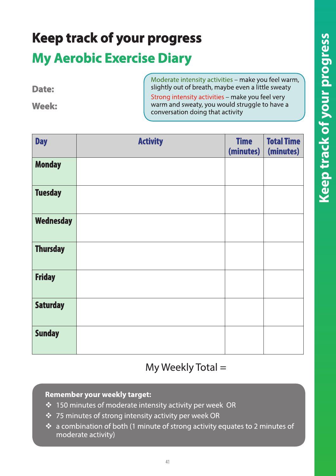# **Keep track of your progress My Aerobic Exercise Diary**

|              | Moderate intensity activities - make you feel warm, |
|--------------|-----------------------------------------------------|
| Date:        | slightly out of breath, maybe even a little sweaty  |
|              | Strong intensity activities - make you feel very    |
| <b>Week:</b> | warm and sweaty, you would struggle to have a       |
|              | conversation doing that activity                    |

 $\bigwedge$ 

| <b>Day</b>       | <b>Activity</b> | <b>Time</b><br>(minutes) | <b>Total Time</b><br>(minutes) |
|------------------|-----------------|--------------------------|--------------------------------|
| <b>Monday</b>    |                 |                          |                                |
| <b>Tuesday</b>   |                 |                          |                                |
| <b>Wednesday</b> |                 |                          |                                |
| <b>Thursday</b>  |                 |                          |                                |
| <b>Friday</b>    |                 |                          |                                |
| <b>Saturday</b>  |                 |                          |                                |
| <b>Sunday</b>    |                 |                          |                                |

#### My Weekly Total =

#### **Remember your weekly target:**

- ❖ 150 minutes of moderate intensity activity per week OR
- ❖ 75 minutes of strong intensity activity per week OR
- \* a combination of both (1 minute of strong activity equates to 2 minutes of moderate activity)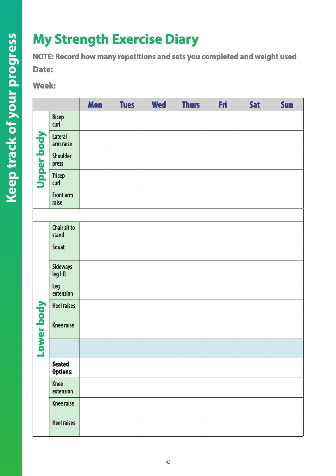## **My Strength Exercise Diary**

**NOTE: Record how many repetitions and sets you completed and weight used**

**Date:**

**Week:**

|            |                                  | Mon | <b>Tues</b> | <b>Wed</b> | <b>Thurs</b> | Fri | <b>Sat</b> | Sun |
|------------|----------------------------------|-----|-------------|------------|--------------|-----|------------|-----|
| Upper body | Bicep<br>curl                    |     |             |            |              |     |            |     |
|            | Lateral<br>arm raise             |     |             |            |              |     |            |     |
|            | Shoulder<br>press                |     |             |            |              |     |            |     |
|            | <b>Tricep</b><br>curl            |     |             |            |              |     |            |     |
|            | Front arm<br>raise               |     |             |            |              |     |            |     |
|            |                                  |     |             |            |              |     |            |     |
|            | Chair sit to<br>stand            |     |             |            |              |     |            |     |
|            | Squat                            |     |             |            |              |     |            |     |
|            | Sideways<br>leg lift             |     |             |            |              |     |            |     |
|            | Leg<br>extension                 |     |             |            |              |     |            |     |
|            | <b>Heel raises</b>               |     |             |            |              |     |            |     |
| ower body  | <b>Knee raise</b>                |     |             |            |              |     |            |     |
|            |                                  |     |             |            |              |     |            |     |
|            | <b>Seated</b><br><b>Options:</b> |     |             |            |              |     |            |     |
|            | <b>Knee</b><br>extension         |     |             |            |              |     |            |     |
|            | <b>Knee raise</b>                |     |             |            |              |     |            |     |
|            | <b>Heel raises</b>               |     |             |            |              |     |            |     |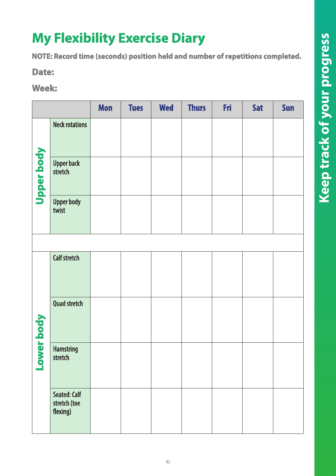## **My Flexibility Exercise Diary**

**NOTE: Record time (seconds) position held and number of repetitions completed.**

**Date:**

#### **Week:**

|            |                                                 | Mon | <b>Tues</b> | <b>Wed</b> | <b>Thurs</b> | Fri | <b>Sat</b> | Sun |
|------------|-------------------------------------------------|-----|-------------|------------|--------------|-----|------------|-----|
|            | <b>Neck rotations</b>                           |     |             |            |              |     |            |     |
| Upper body | <b>Upper back</b><br>stretch                    |     |             |            |              |     |            |     |
|            | <b>Upper body</b><br>twist                      |     |             |            |              |     |            |     |
|            |                                                 |     |             |            |              |     |            |     |
|            | <b>Calf stretch</b>                             |     |             |            |              |     |            |     |
| er body    | <b>Quad stretch</b>                             |     |             |            |              |     |            |     |
| <b>NOT</b> | <b>Hamstring</b><br>stretch                     |     |             |            |              |     |            |     |
|            | <b>Seated: Calf</b><br>stretch (toe<br>flexing) |     |             |            |              |     |            |     |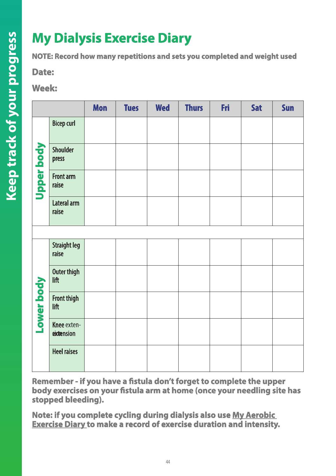## **My Dialysis Exercise Diary**

**NOTE: Record how many repetitions and sets you completed and weight used**

**Date:**

**Week:**

|                   |                              | <b>Mon</b> | <b>Tues</b> | <b>Wed</b> | <b>Thurs</b> | <b>Fri</b> | <b>Sat</b> | <b>Sun</b> |
|-------------------|------------------------------|------------|-------------|------------|--------------|------------|------------|------------|
| <b>Upper body</b> | <b>Bicep curl</b>            |            |             |            |              |            |            |            |
|                   | Shoulder<br>press            |            |             |            |              |            |            |            |
|                   | Front arm<br>raise           |            |             |            |              |            |            |            |
|                   | Lateral arm<br>raise         |            |             |            |              |            |            |            |
|                   |                              |            |             |            |              |            |            |            |
| Lower body        | <b>Straight leg</b><br>raise |            |             |            |              |            |            |            |
|                   | Outer thigh<br>lift          |            |             |            |              |            |            |            |
|                   | Front thigh<br>lift          |            |             |            |              |            |            |            |
|                   | Knee exten-<br>eixtension    |            |             |            |              |            |            |            |
|                   | <b>Heel raises</b>           |            |             |            |              |            |            |            |

**Remember - if you have a fistula don't forget to complete the upper body exercises on your fistula arm at home (once your needling site has stopped bleeding).** 

**Note: if you complete cycling during dialysis also use My Aerobic Exercise Diary to make a record of exercise duration and intensity.**